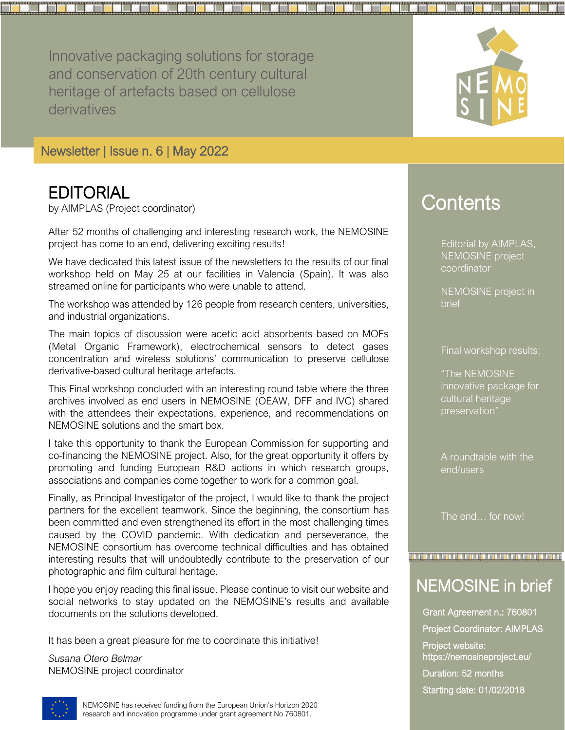Innovative packaging solutions for storage and conservation of 20th century cultural heritage of artefacts based on cellulose derivatives



### **EDITORIAL**

by AIMPLAS (Project coordinator)

After 52 months of challenging and interesting research work, the NEMOSINE project has come to an end, delivering exciting results!

We have dedicated this latest issue of the newsletters to the results of our final workshop held on May 25 at our facilities in Valencia (Spain). It was also streamed online for participants who were unable to attend.

The workshop was attended by 126 people from research centers, universities, and industrial organizations.

The main topics of discussion were acetic acid absorbents based on MOFs (Metal Organic Framework), electrochemical sensors to detect gases concentration and wireless solutions' communication to preserve cellulose derivative-based cultural heritage artefacts.

This Final workshop concluded with an interesting round table where the three archives involved as end users in NEMOSINE (OEAW, DFF and IVC) shared with the attendees their expectations, experience, and recommendations on NEMOSINE solutions and the smart box.

I take this opportunity to thank the European Commission for supporting and co-financing the NEMOSINE project. Also, for the great opportunity it offers by promoting and funding European R&D actions in which research groups, associations and companies come together to work for a common goal.

Finally, as Principal Investigator of the project, I would like to thank the project partners for the excellent teamwork. Since the beginning, the consortium has been committed and even strengthened its effort in the most challenging times caused by the COVID pandemic. With dedication and perseverance, the NEMOSINE consortium has overcome technical difficulties and has obtained interesting results that will undoubtedly contribute to the preservation of our photographic and film cultural heritage.

I hope you enjoy reading this final issue. Please continue to visit our website and social networks to stay updated on the NEMOSINE's results and available documents on the solutions developed.

It has been a great pleasure for me to coordinate this initiative!

*Susana Otero Belmar* NEMOSINE project coordinator

# **Contents**

Editorial by AIMPLAS, NEMOSINE project coordinator

NEMOSINE project in brief

Final workshop results:

"The NEMOSINE innovative package for cultural heritage preservation"

A roundtable with the end/users

The end… for now!

## NEMOSINE in brief

in dan berakan dan berakama dan berakama dan berakama dan berakama dan berakama

Grant Agreement n.: 760801 Project Coordinator: AIMPLAS Project website: https://nemosineproject.eu/ Duration: 52 months Starting date: 01/02/2018



NEMOSINE has received funding from the European Union's Horizon 2020 research and innovation programme under grant agreement No 760801.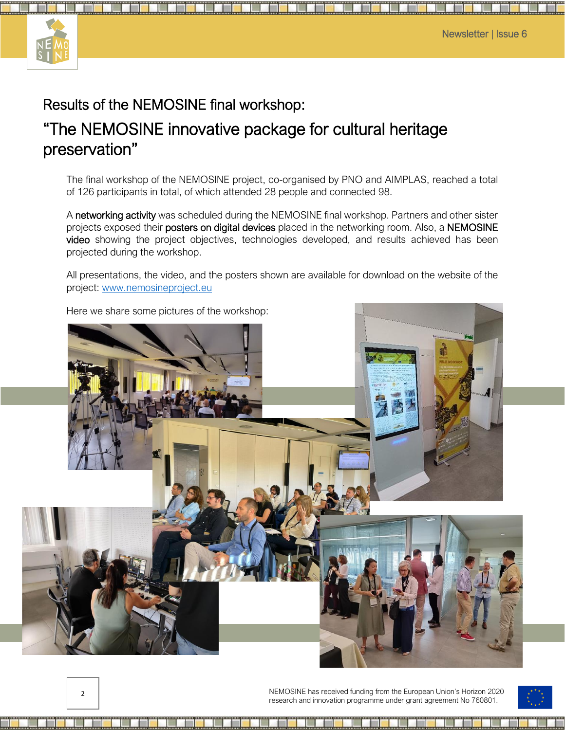

### Results of the NEMOSINE final workshop:

## "The NEMOSINE innovative package for cultural heritage preservation"

The final workshop of the NEMOSINE project, co-organised by PNO and AIMPLAS, reached a total of 126 participants in total, of which attended 28 people and connected 98.

A networking activity was scheduled during the NEMOSINE final workshop. Partners and other sister projects exposed their posters on digital devices placed in the networking room. Also, a NEMOSINE video showing the project objectives, technologies developed, and results achieved has been projected during the workshop.

All presentations, the video, and the posters shown are available for download on the website of the project: [www.nemosineproject.eu](http://www.nemosineproject.eu/)



Here we share some pictures of the workshop:



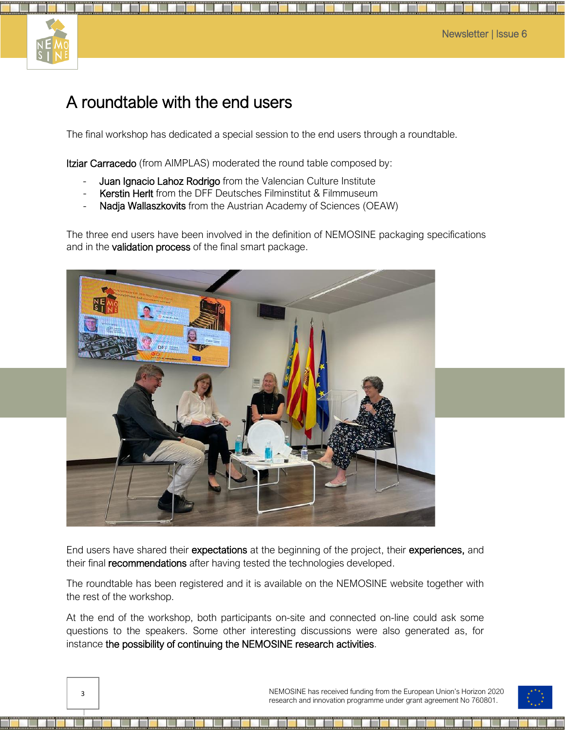

## A roundtable with the end users

The final workshop has dedicated a special session to the end users through a roundtable.

Itziar Carracedo (from AIMPLAS) moderated the round table composed by:

- Juan Ignacio Lahoz Rodrigo from the Valencian Culture Institute
- Kerstin Herlt from the DFF Deutsches Filminstitut & Filmmuseum
- Nadja Wallaszkovits from the Austrian Academy of Sciences (OEAW)

The three end users have been involved in the definition of NEMOSINE packaging specifications and in the **validation process** of the final smart package.



End users have shared their expectations at the beginning of the project, their experiences, and their final **recommendations** after having tested the technologies developed.

The roundtable has been registered and it is available on the NEMOSINE website together with the rest of the workshop.

At the end of the workshop, both participants on-site and connected on-line could ask some questions to the speakers. Some other interesting discussions were also generated as, for instance the possibility of continuing the NEMOSINE research activities.